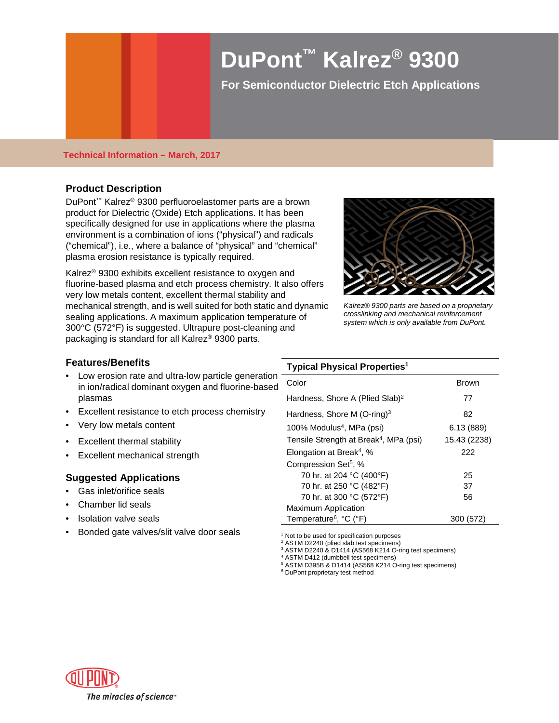# **DuPont™ Kalrez® 9300**

**For Semiconductor Dielectric Etch Applications** 

#### **Technical Information – March, 2017**

# **Product Description**

DuPont™ Kalrez® 9300 perfluoroelastomer parts are a brown product for Dielectric (Oxide) Etch applications. It has been specifically designed for use in applications where the plasma environment is a combination of ions ("physical") and radicals ("chemical"), i.e., where a balance of "physical" and "chemical" plasma erosion resistance is typically required.

Kalrez® 9300 exhibits excellent resistance to oxygen and fluorine-based plasma and etch process chemistry. It also offers very low metals content, excellent thermal stability and mechanical strength, and is well suited for both static and dynamic sealing applications. A maximum application temperature of 300°C (572°F) is suggested. Ultrapure post-cleaning and packaging is standard for all Kalrez® 9300 parts.



*Kalrez® 9300 parts are based on a proprietary crosslinking and mechanical reinforcement system which is only available from DuPont.*

#### **Features/Benefits**

- Low erosion rate and ultra-low particle generation in ion/radical dominant oxygen and fluorine-based plasmas
- Excellent resistance to etch process chemistry
- Very low metals content
- Excellent thermal stability
- Excellent mechanical strength

# **Suggested Applications**

- Gas inlet/orifice seals
- Chamber lid seals
- Isolation valve seals
- Bonded gate valves/slit valve door seals

### **Typical Physical Properties1**

| Color                                              | <b>Brown</b> |
|----------------------------------------------------|--------------|
| Hardness, Shore A (Plied Slab) <sup>2</sup>        | 77           |
| Hardness, Shore M (O-ring) <sup>3</sup>            | 82           |
| 100% Modulus <sup>4</sup> , MPa (psi)              | 6.13(889)    |
| Tensile Strength at Break <sup>4</sup> , MPa (psi) | 15.43 (2238) |
| Elongation at Break <sup>4</sup> , %               | 222          |
| Compression Set <sup>5</sup> , %                   |              |
| 70 hr. at 204 °C (400°F)                           | 25           |
| 70 hr. at 250 °C (482°F)                           | 37           |
| 70 hr. at 300 °C (572°F)                           | 56           |
| <b>Maximum Application</b>                         |              |
| Temperature <sup>6</sup> , °C (°F)                 | 300 (572)    |

<sup>1</sup> Not to be used for specification purposes

<sup>2</sup> ASTM D2240 (plied slab test specimens)

<sup>3</sup> ASTM D2240 & D1414 (AS568 K214 O-ring test specimens)

<sup>4</sup> ASTM D412 (dumbbell test specimens)

<sup>5</sup> ASTM D395B & D1414 (AS568 K214 O-ring test specimens)